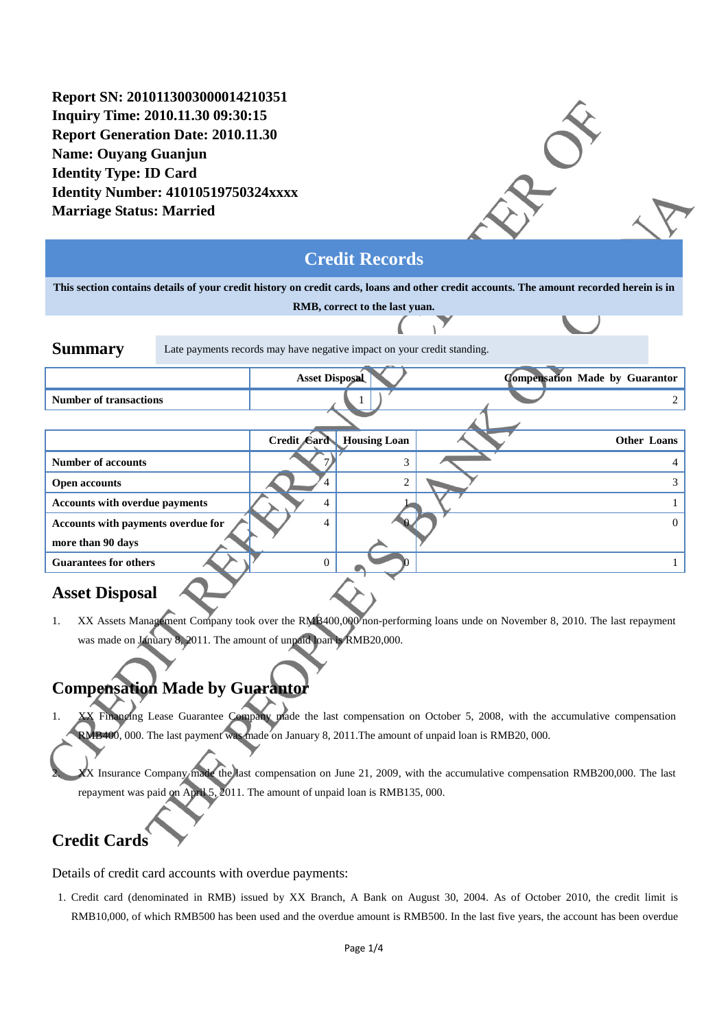**Report SN: 2010113003000014210351 Inquiry Time: 2010.11.30 09:30:15 Report Generation Date: 2010.11.30 Name: Ouyang Guanjun Identity Type: ID Card Identity Number: 41010519750324xxxx Marriage Status: Married**

### **Credit Records**

**This section contains details of your credit history on credit cards, loans and other credit accounts. The amount recorded herein is in** 

| RMB, correct to the last yuan.        |                                                                         |                       |                     |  |                                       |  |
|---------------------------------------|-------------------------------------------------------------------------|-----------------------|---------------------|--|---------------------------------------|--|
|                                       |                                                                         |                       |                     |  |                                       |  |
| <b>Summary</b>                        | Late payments records may have negative impact on your credit standing. |                       |                     |  |                                       |  |
|                                       |                                                                         | <b>Asset Disposal</b> |                     |  | <b>Compensation Made by Guarantor</b> |  |
| <b>Number of transactions</b>         |                                                                         |                       |                     |  |                                       |  |
|                                       |                                                                         |                       |                     |  |                                       |  |
|                                       |                                                                         | Credit Gard           | <b>Housing Loan</b> |  | Other Loans                           |  |
| <b>Number of accounts</b>             |                                                                         |                       | 3                   |  |                                       |  |
| <b>Open accounts</b>                  |                                                                         |                       | 2                   |  |                                       |  |
| <b>Accounts with overdue payments</b> |                                                                         | 4                     |                     |  |                                       |  |
| Accounts with payments overdue for    |                                                                         | $\overline{4}$        |                     |  | 0                                     |  |
| more than 90 days                     |                                                                         |                       |                     |  |                                       |  |
| <b>Guarantees for others</b>          |                                                                         | $\Omega$              |                     |  |                                       |  |
|                                       |                                                                         |                       |                     |  |                                       |  |

### **Asset Disposal**

1. XX Assets Management Company took over the RMB400,000 non-performing loans unde on November 8, 2010. The last repayment was made on January 8, 2011. The amount of unpaid loan is RMB20,000.

## **Compensation Made by Guarantor**

Financing Lease Guarantee Company made the last compensation on October 5, 2008, with the accumulative compensation RMB400, 000. The last payment was made on January 8, 2011.The amount of unpaid loan is RMB20, 000.

XX Insurance Company made the last compensation on June 21, 2009, with the accumulative compensation RMB200,000. The last repayment was paid on April 5, 2011. The amount of unpaid loan is RMB135, 000.

# **Credit Cards**

Details of credit card accounts with overdue payments:

1. Credit card (denominated in RMB) issued by XX Branch, A Bank on August 30, 2004. As of October 2010, the credit limit is RMB10,000, of which RMB500 has been used and the overdue amount is RMB500. In the last five years, the account has been overdue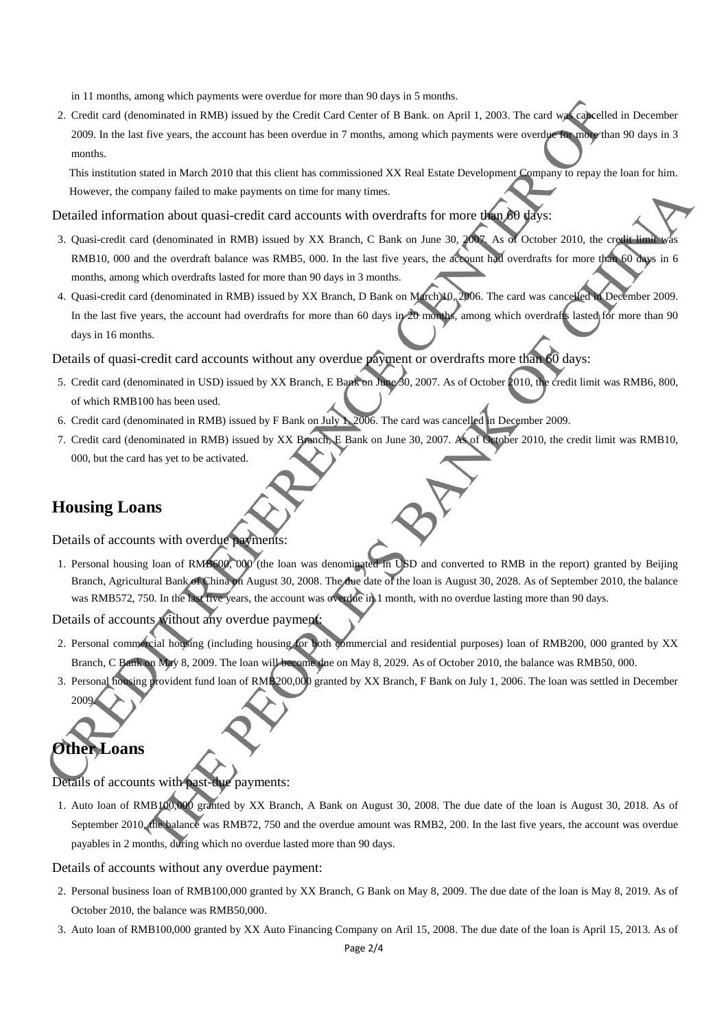in 11 months, among which payments were overdue for more than 90 days in 5 months.

2. Credit card (denominated in RMB) issued by the Credit Card Center of B Bank. on April 1, 2003. The card was cancelled in December 2009. In the last five years, the account has been overdue in 7 months, among which payments were overdue for more than 90 days in 3 months.

This institution stated in March 2010 that this client has commissioned XX Real Estate Development Company to repay the loan for him. However, the company failed to make payments on time for many times.

Detailed information about quasi-credit card accounts with overdrafts for more than 60 days:

- 3. Quasi-credit card (denominated in RMB) issued by XX Branch, C Bank on June 30, 2007. As of October 2010, the credit lim RMB10, 000 and the overdraft balance was RMB5, 000. In the last five years, the account had overdrafts for more than 60 days in 6 months, among which overdrafts lasted for more than 90 days in 3 months.
- 4. Quasi-credit card (denominated in RMB) issued by XX Branch, D Bank on March 10, 2006. The card was cancelled in December 2009. In the last five years, the account had overdrafts for more than 60 days in 20 months, among which overdrafts lasted for more than 90 days in 16 months.

Details of quasi-credit card accounts without any overdue payment or overdrafts more than 60 days:

- 5. Credit card (denominated in USD) issued by XX Branch, E Bank on June 30, 2007. As of October 2010, the credit limit was RMB6, 800, of which RMB100 has been used.
- 6. Credit card (denominated in RMB) issued by F Bank on July 1, 2006. The card was cancelled in December 2009.
- 7. Credit card (denominated in RMB) issued by XX Branch, E Bank on June 30, 2007. As of October 2010, the credit limit was RMB10, 000, but the card has yet to be activated.

#### **Housing Loans**

Details of accounts with overdue payments:

1. Personal housing loan of RMB600, 000 (the loan was denominated in USD and converted to RMB in the report) granted by Beijing Branch, Agricultural Bank of China on August 30, 2008. The due date of the loan is August 30, 2028. As of September 2010, the balance was RMB572, 750. In the last five years, the account was overdue in 1 month, with no overdue lasting more than 90 days.

Details of accounts without any overdue payment:

- 2. Personal commercial housing (including housing for both commercial and residential purposes) loan of RMB200, 000 granted by XX Branch, C Bank on May 8, 2009. The loan will become due on May 8, 2029. As of October 2010, the balance was RMB50, 000.
- 3. Personal housing provident fund loan of RMB200,000 granted by XX Branch, F Bank on July 1, 2006. The loan was settled in December 2009.

# **Other Loans**

Details of accounts with past-due payments:

1. Auto loan of RMB100,000 granted by XX Branch, A Bank on August 30, 2008. The due date of the loan is August 30, 2018. As of September 2010, the balance was RMB72, 750 and the overdue amount was RMB2, 200. In the last five years, the account was overdue payables in 2 months, during which no overdue lasted more than 90 days.

Details of accounts without any overdue payment:

- 2. Personal business loan of RMB100,000 granted by XX Branch, G Bank on May 8, 2009. The due date of the loan is May 8, 2019. As of October 2010, the balance was RMB50,000.
- 3. Auto loan of RMB100,000 granted by XX Auto Financing Company on Aril 15, 2008. The due date of the loan is April 15, 2013. As of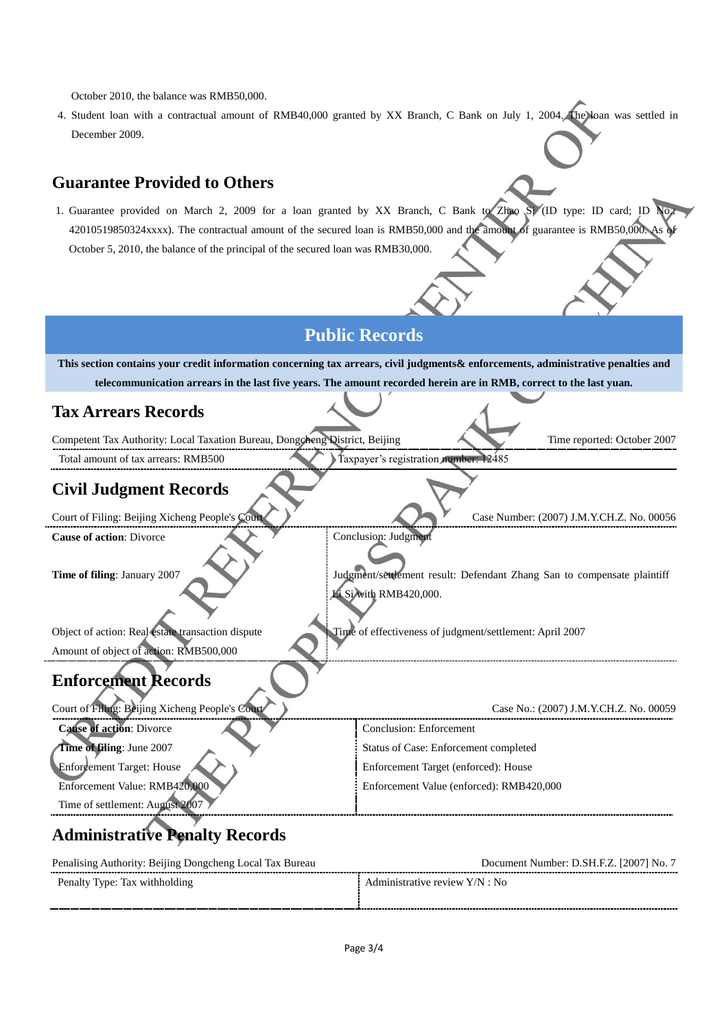October 2010, the balance was RMB50,000.

4. Student loan with a contractual amount of RMB40,000 granted by XX Branch, C Bank on July 1, 2004. The loan was settled in December 2009.

#### **Guarantee Provided to Others**

1. Guarantee provided on March 2, 2009 for a loan granted by XX Branch, C Bank to Zhao Si (ID type: ID card; ID 42010519850324xxxx). The contractual amount of the secured loan is RMB50,000 and the amount of guarantee is RMB50,000. October 5, 2010, the balance of the principal of the secured loan was RMB30,000.

### **Public Records**

**This section contains your credit information concerning tax arrears, civil judgments& enforcements, administrative penalties and telecommunication arrears in the last five years. The amount recorded herein are in RMB, correct to the last yuan.**

#### **Tax Arrears Records**

Competent Tax Authority: Local Taxation Bureau, Dongcheng District, Beijing Time reported: October 2007

Total amount of tax arrears: RMB500 Taxpayer's registration number: 12485

#### **Civil Judgment Records**

Court of Filing: Beijing Xicheng People's Court Court Case Number: (2007) J.M.Y.CH.Z. No. 00056

**Cause of action:** Divorce Cause of action: Divorce

Amount of object of action: RMB500,000

Time of filing: January 2007 Judgment/settlement result: Defendant Zhang San to compensate plaintiff Li Si with RMB420,000.

Object of action: Real estate transaction dispute Time of effectiveness of judgment/settlement: April 2007

## **Enforcement Records**

| Court of Filing: Beijing Xicheng People's Court | Case No.: (2007) J.M.Y.CH.Z. No. 00059   |
|-------------------------------------------------|------------------------------------------|
| <b>Cause of action: Divorce</b>                 | Conclusion: Enforcement                  |
| Time of filing: June 2007                       | Status of Case: Enforcement completed    |
| Enforcement Target: House                       | Enforcement Target (enforced): House     |
| Enforcement Value: RMB420,000                   | Enforcement Value (enforced): RMB420,000 |
| Time of settlement: August 2007                 |                                          |

# **Administrative Penalty Records**

| Penalising Authority: Beijing Dongcheng Local Tax Bureau | Document Number: D.SH.F.Z. [2007] No. 7 |  |
|----------------------------------------------------------|-----------------------------------------|--|
| Penalty Type: Tax withholding                            | Administrative review Y/N : No          |  |
|                                                          |                                         |  |